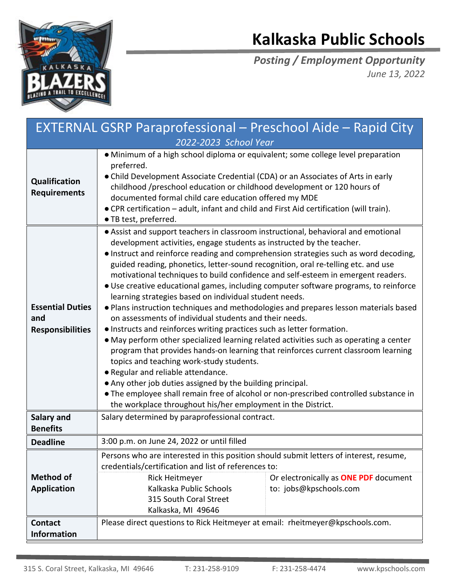

## **Kalkaska Public Schools**

*Posting / Employment Opportunity June 13, 2022*

| <b>EXTERNAL GSRP Paraprofessional - Preschool Aide - Rapid City</b> |                                                                                                                                                                                                                                                                                                                                                                                                                                                                                                                                                                                                                                                                                                                                                                                                                                                                                                                                                                                                                                                                                                                                                                                                                                                                                                     |                                                                 |
|---------------------------------------------------------------------|-----------------------------------------------------------------------------------------------------------------------------------------------------------------------------------------------------------------------------------------------------------------------------------------------------------------------------------------------------------------------------------------------------------------------------------------------------------------------------------------------------------------------------------------------------------------------------------------------------------------------------------------------------------------------------------------------------------------------------------------------------------------------------------------------------------------------------------------------------------------------------------------------------------------------------------------------------------------------------------------------------------------------------------------------------------------------------------------------------------------------------------------------------------------------------------------------------------------------------------------------------------------------------------------------------|-----------------------------------------------------------------|
| 2022-2023 School Year                                               |                                                                                                                                                                                                                                                                                                                                                                                                                                                                                                                                                                                                                                                                                                                                                                                                                                                                                                                                                                                                                                                                                                                                                                                                                                                                                                     |                                                                 |
| Qualification<br><b>Requirements</b>                                | • Minimum of a high school diploma or equivalent; some college level preparation<br>preferred.<br>• Child Development Associate Credential (CDA) or an Associates of Arts in early<br>childhood /preschool education or childhood development or 120 hours of<br>documented formal child care education offered my MDE<br>• CPR certification – adult, infant and child and First Aid certification (will train).<br>• TB test, preferred.                                                                                                                                                                                                                                                                                                                                                                                                                                                                                                                                                                                                                                                                                                                                                                                                                                                          |                                                                 |
| <b>Essential Duties</b><br>and<br><b>Responsibilities</b>           | • Assist and support teachers in classroom instructional, behavioral and emotional<br>development activities, engage students as instructed by the teacher.<br>• Instruct and reinforce reading and comprehension strategies such as word decoding,<br>guided reading, phonetics, letter-sound recognition, oral re-telling etc. and use<br>motivational techniques to build confidence and self-esteem in emergent readers.<br>• Use creative educational games, including computer software programs, to reinforce<br>learning strategies based on individual student needs.<br>• Plans instruction techniques and methodologies and prepares lesson materials based<br>on assessments of individual students and their needs.<br>. Instructs and reinforces writing practices such as letter formation.<br>• May perform other specialized learning related activities such as operating a center<br>program that provides hands-on learning that reinforces current classroom learning<br>topics and teaching work-study students.<br>• Regular and reliable attendance.<br>• Any other job duties assigned by the building principal.<br>• The employee shall remain free of alcohol or non-prescribed controlled substance in<br>the workplace throughout his/her employment in the District. |                                                                 |
| <b>Salary and</b>                                                   | Salary determined by paraprofessional contract.                                                                                                                                                                                                                                                                                                                                                                                                                                                                                                                                                                                                                                                                                                                                                                                                                                                                                                                                                                                                                                                                                                                                                                                                                                                     |                                                                 |
| <b>Benefits</b>                                                     |                                                                                                                                                                                                                                                                                                                                                                                                                                                                                                                                                                                                                                                                                                                                                                                                                                                                                                                                                                                                                                                                                                                                                                                                                                                                                                     |                                                                 |
| <b>Deadline</b>                                                     | 3:00 p.m. on June 24, 2022 or until filled                                                                                                                                                                                                                                                                                                                                                                                                                                                                                                                                                                                                                                                                                                                                                                                                                                                                                                                                                                                                                                                                                                                                                                                                                                                          |                                                                 |
| <b>Method of</b><br><b>Application</b>                              | Persons who are interested in this position should submit letters of interest, resume,<br>credentials/certification and list of references to:<br>Rick Heitmeyer<br>Kalkaska Public Schools<br>315 South Coral Street<br>Kalkaska, MI 49646                                                                                                                                                                                                                                                                                                                                                                                                                                                                                                                                                                                                                                                                                                                                                                                                                                                                                                                                                                                                                                                         | Or electronically as ONE PDF document<br>to: jobs@kpschools.com |
| <b>Contact</b><br><b>Information</b>                                | Please direct questions to Rick Heitmeyer at email: rheitmeyer@kpschools.com.                                                                                                                                                                                                                                                                                                                                                                                                                                                                                                                                                                                                                                                                                                                                                                                                                                                                                                                                                                                                                                                                                                                                                                                                                       |                                                                 |